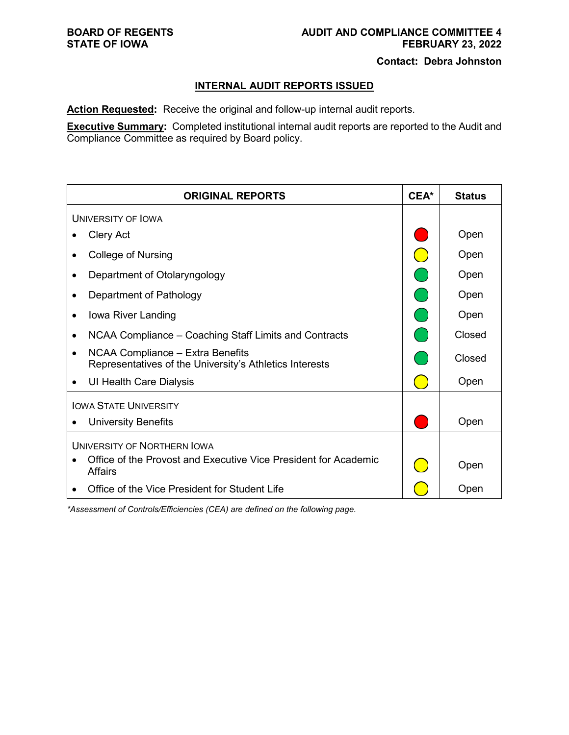### **BOARD OF REGENTS AUDIT AND COMPLIANCE COMMITTEE 4**<br>STATE OF IOWA **FEBRUARY 23, 2022 STATE OF IOWA FEBRUARY 23, 2022**

**Contact: Debra Johnston** 

## **INTERNAL AUDIT REPORTS ISSUED**

**Action Requested:** Receive the original and follow-up internal audit reports.

**Executive Summary:** Completed institutional internal audit reports are reported to the Audit and Compliance Committee as required by Board policy.

| <b>ORIGINAL REPORTS</b>                                                                                  | CEA* | <b>Status</b> |  |
|----------------------------------------------------------------------------------------------------------|------|---------------|--|
| UNIVERSITY OF LOWA                                                                                       |      |               |  |
| <b>Clery Act</b>                                                                                         |      | Open          |  |
| <b>College of Nursing</b>                                                                                |      | Open          |  |
| Department of Otolaryngology                                                                             |      | Open          |  |
| Department of Pathology<br>٠                                                                             |      | Open          |  |
| Iowa River Landing<br>٠                                                                                  |      | Open          |  |
| NCAA Compliance – Coaching Staff Limits and Contracts<br>$\bullet$                                       |      | Closed        |  |
| NCAA Compliance - Extra Benefits<br>$\bullet$<br>Representatives of the University's Athletics Interests |      | Closed        |  |
| UI Health Care Dialysis<br>$\bullet$                                                                     |      | Open          |  |
| <b>IOWA STATE UNIVERSITY</b>                                                                             |      |               |  |
| <b>University Benefits</b>                                                                               |      | Open          |  |
| UNIVERSITY OF NORTHERN IOWA                                                                              |      |               |  |
| Office of the Provost and Executive Vice President for Academic<br><b>Affairs</b>                        |      | Open          |  |
| Office of the Vice President for Student Life                                                            |      | Open          |  |

*\*Assessment of Controls/Efficiencies (CEA) are defined on the following page.*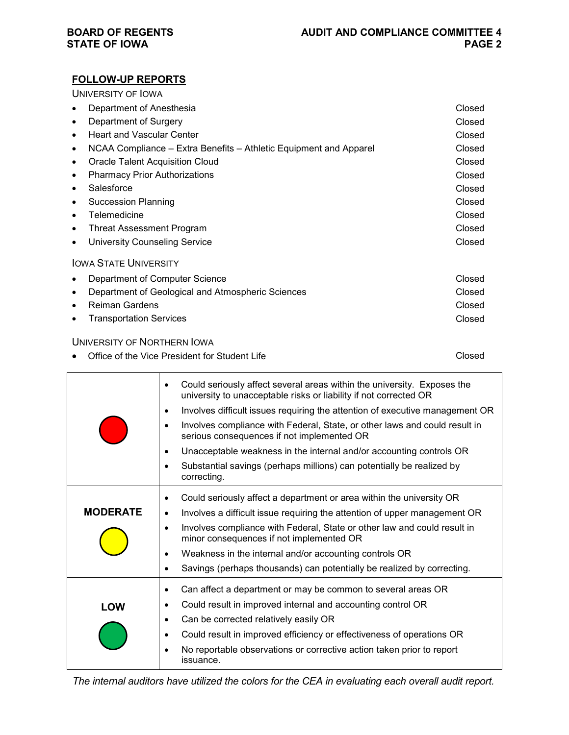## **FOLLOW-UP REPORTS**

UNIVERSITY OF IOWA

| Department of Anesthesia                                               | Closed |
|------------------------------------------------------------------------|--------|
| Department of Surgery<br>$\bullet$                                     | Closed |
| <b>Heart and Vascular Center</b><br>$\bullet$                          | Closed |
| NCAA Compliance – Extra Benefits – Athletic Equipment and Apparel<br>٠ | Closed |
| <b>Oracle Talent Acquisition Cloud</b><br>$\bullet$                    | Closed |
| <b>Pharmacy Prior Authorizations</b>                                   | Closed |
| Salesforce<br>$\bullet$                                                | Closed |
| <b>Succession Planning</b><br>٠                                        | Closed |
| Telemedicine<br>$\bullet$                                              | Closed |
| Threat Assessment Program<br>٠                                         | Closed |
| <b>University Counseling Service</b>                                   | Closed |
| <b>IOWA STATE UNIVERSITY</b>                                           |        |
| Department of Computer Science<br>$\bullet$                            | Closed |
| Department of Geological and Atmospheric Sciences                      | Closed |
| <b>Reiman Gardens</b><br>$\bullet$                                     | Closed |
| <b>Transportation Services</b>                                         | Closed |
| UNIVERSITY OF NORTHERN IOWA                                            |        |

| • Office of the Vice President for Student Life | Closed |
|-------------------------------------------------|--------|

|                 | Could seriously affect several areas within the university. Exposes the<br>$\bullet$<br>university to unacceptable risks or liability if not corrected OR |
|-----------------|-----------------------------------------------------------------------------------------------------------------------------------------------------------|
|                 | Involves difficult issues requiring the attention of executive management OR<br>٠                                                                         |
|                 | Involves compliance with Federal, State, or other laws and could result in<br>serious consequences if not implemented OR                                  |
|                 | Unacceptable weakness in the internal and/or accounting controls OR<br>٠                                                                                  |
|                 | Substantial savings (perhaps millions) can potentially be realized by<br>٠<br>correcting.                                                                 |
|                 | Could seriously affect a department or area within the university OR<br>٠                                                                                 |
| <b>MODERATE</b> | Involves a difficult issue requiring the attention of upper management OR<br>$\bullet$                                                                    |
|                 | Involves compliance with Federal, State or other law and could result in<br>$\bullet$<br>minor consequences if not implemented OR                         |
|                 | Weakness in the internal and/or accounting controls OR<br>$\bullet$                                                                                       |
|                 | Savings (perhaps thousands) can potentially be realized by correcting.<br>$\bullet$                                                                       |
|                 | Can affect a department or may be common to several areas OR<br>٠                                                                                         |
| LOW             | Could result in improved internal and accounting control OR<br>٠                                                                                          |
|                 | Can be corrected relatively easily OR                                                                                                                     |
|                 | Could result in improved efficiency or effectiveness of operations OR<br>٠                                                                                |
|                 | No reportable observations or corrective action taken prior to report<br>issuance.                                                                        |

*The internal auditors have utilized the colors for the CEA in evaluating each overall audit report.*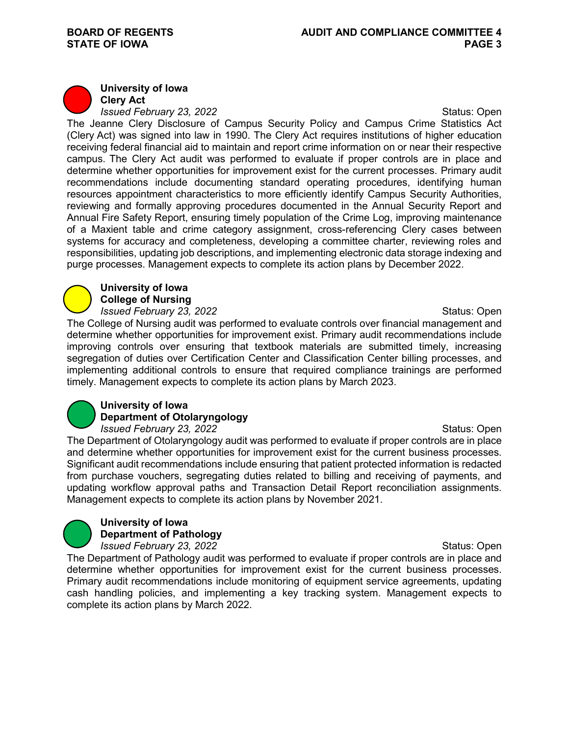## **University of Iowa**

**Clery Act** *Issued February 23, 2022* **Status: Open** Status: Open

The Jeanne Clery Disclosure of Campus Security Policy and Campus Crime Statistics Act (Clery Act) was signed into law in 1990. The Clery Act requires institutions of higher education receiving federal financial aid to maintain and report crime information on or near their respective campus. The Clery Act audit was performed to evaluate if proper controls are in place and determine whether opportunities for improvement exist for the current processes. Primary audit recommendations include documenting standard operating procedures, identifying human resources appointment characteristics to more efficiently identify Campus Security Authorities, reviewing and formally approving procedures documented in the Annual Security Report and Annual Fire Safety Report, ensuring timely population of the Crime Log, improving maintenance of a Maxient table and crime category assignment, cross-referencing Clery cases between systems for accuracy and completeness, developing a committee charter, reviewing roles and responsibilities, updating job descriptions, and implementing electronic data storage indexing and purge processes. Management expects to complete its action plans by December 2022.

## **University of Iowa College of Nursing**

*Issued February 23, 2022 ISSUED <b>Status: Open* The College of Nursing audit was performed to evaluate controls over financial management and determine whether opportunities for improvement exist. Primary audit recommendations include improving controls over ensuring that textbook materials are submitted timely, increasing segregation of duties over Certification Center and Classification Center billing processes, and implementing additional controls to ensure that required compliance trainings are performed timely. Management expects to complete its action plans by March 2023.

## **University of Iowa Department of Otolaryngology**

*Issued February 23, 2022* **Status: Open** Status: Open The Department of Otolaryngology audit was performed to evaluate if proper controls are in place and determine whether opportunities for improvement exist for the current business processes. Significant audit recommendations include ensuring that patient protected information is redacted from purchase vouchers, segregating duties related to billing and receiving of payments, and updating workflow approval paths and Transaction Detail Report reconciliation assignments. Management expects to complete its action plans by November 2021.

#### **University of Iowa Department of Pathology** *Issued February 23, 2022 ISSUED <b>Status: Open*

The Department of Pathology audit was performed to evaluate if proper controls are in place and determine whether opportunities for improvement exist for the current business processes. Primary audit recommendations include monitoring of equipment service agreements, updating cash handling policies, and implementing a key tracking system. Management expects to complete its action plans by March 2022.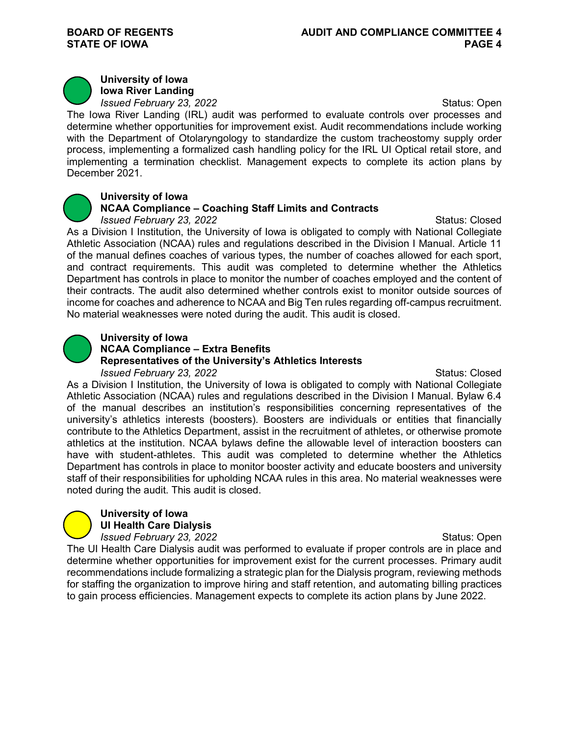

**University of Iowa Iowa River Landing**

*Issued February 23, 2022* **Status: Open** Status: Open

The Iowa River Landing (IRL) audit was performed to evaluate controls over processes and determine whether opportunities for improvement exist. Audit recommendations include working with the Department of Otolaryngology to standardize the custom tracheostomy supply order process, implementing a formalized cash handling policy for the IRL UI Optical retail store, and implementing a termination checklist. Management expects to complete its action plans by December 2021.



## **University of Iowa**

## **NCAA Compliance – Coaching Staff Limits and Contracts**

*Issued February 23, 2022* **Status: Closed** *Status: Closed* Status: Closed

As a Division I Institution, the University of Iowa is obligated to comply with National Collegiate Athletic Association (NCAA) rules and regulations described in the Division I Manual. Article 11 of the manual defines coaches of various types, the number of coaches allowed for each sport, and contract requirements. This audit was completed to determine whether the Athletics Department has controls in place to monitor the number of coaches employed and the content of their contracts. The audit also determined whether controls exist to monitor outside sources of income for coaches and adherence to NCAA and Big Ten rules regarding off-campus recruitment. No material weaknesses were noted during the audit. This audit is closed.



## **University of Iowa**

**NCAA Compliance – Extra Benefits** 

## **Representatives of the University's Athletics Interests**

*Issued February 23, 2022* **Status: Closed** Status: Closed

As a Division I Institution, the University of Iowa is obligated to comply with National Collegiate Athletic Association (NCAA) rules and regulations described in the Division I Manual. Bylaw 6.4 of the manual describes an institution's responsibilities concerning representatives of the university's athletics interests (boosters). Boosters are individuals or entities that financially contribute to the Athletics Department, assist in the recruitment of athletes, or otherwise promote athletics at the institution. NCAA bylaws define the allowable level of interaction boosters can have with student-athletes. This audit was completed to determine whether the Athletics Department has controls in place to monitor booster activity and educate boosters and university staff of their responsibilities for upholding NCAA rules in this area. No material weaknesses were noted during the audit. This audit is closed.

#### **University of Iowa UI Health Care Dialysis**

*Issued February 23, 2022* **Status: Open** Status: Open The UI Health Care Dialysis audit was performed to evaluate if proper controls are in place and determine whether opportunities for improvement exist for the current processes. Primary audit recommendations include formalizing a strategic plan for the Dialysis program, reviewing methods for staffing the organization to improve hiring and staff retention, and automating billing practices to gain process efficiencies. Management expects to complete its action plans by June 2022.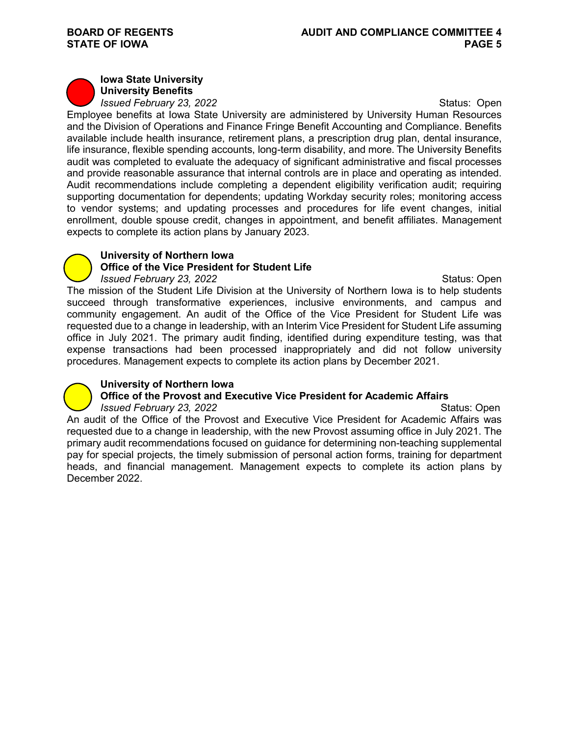## **Iowa State University**

**University Benefits** *Issued February 23, 2022* **Status: Open** Status: Open

Employee benefits at Iowa State University are administered by University Human Resources and the Division of Operations and Finance Fringe Benefit Accounting and Compliance. Benefits available include health insurance, retirement plans, a prescription drug plan, dental insurance, life insurance, flexible spending accounts, long-term disability, and more. The University Benefits audit was completed to evaluate the adequacy of significant administrative and fiscal processes and provide reasonable assurance that internal controls are in place and operating as intended. Audit recommendations include completing a dependent eligibility verification audit; requiring supporting documentation for dependents; updating Workday security roles; monitoring access to vendor systems; and updating processes and procedures for life event changes, initial enrollment, double spouse credit, changes in appointment, and benefit affiliates. Management expects to complete its action plans by January 2023.

## **University of Northern Iowa**

## **Office of the Vice President for Student Life**

*Issued February 23, 2022* Status: Open The mission of the Student Life Division at the University of Northern Iowa is to help students succeed through transformative experiences, inclusive environments, and campus and community engagement. An audit of the Office of the Vice President for Student Life was requested due to a change in leadership, with an Interim Vice President for Student Life assuming office in July 2021. The primary audit finding, identified during expenditure testing, was that expense transactions had been processed inappropriately and did not follow university procedures. Management expects to complete its action plans by December 2021.

## **University of Northern Iowa**

# **Office of the Provost and Executive Vice President for Academic Affairs**<br>*Issued February 23, 2022* **Status: Open**

**Issued February 23, 2022** An audit of the Office of the Provost and Executive Vice President for Academic Affairs was requested due to a change in leadership, with the new Provost assuming office in July 2021. The primary audit recommendations focused on guidance for determining non-teaching supplemental pay for special projects, the timely submission of personal action forms, training for department heads, and financial management. Management expects to complete its action plans by December 2022.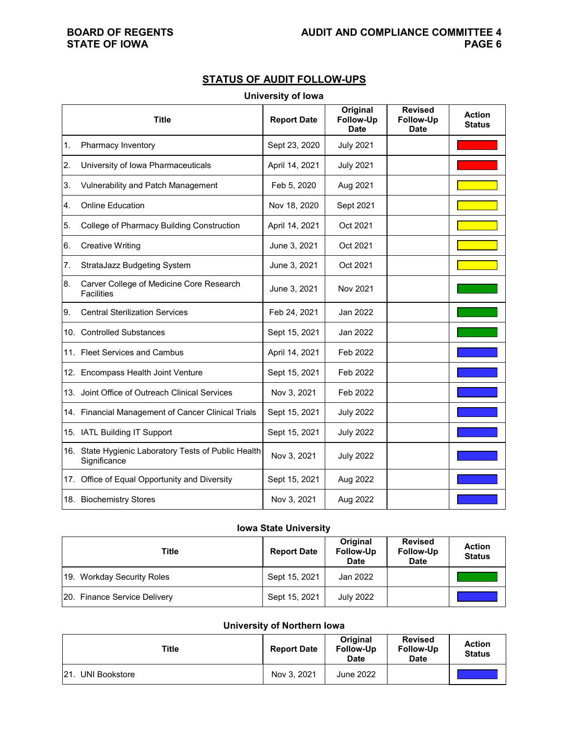# **STATE OF IOWA**

## **STATUS OF AUDIT FOLLOW-UPS**

#### **University of Iowa**

|    | <b>Title</b>                                                         | <b>Report Date</b> | Original<br><b>Follow-Up</b><br><b>Date</b> | <b>Revised</b><br><b>Follow-Up</b><br><b>Date</b> | <b>Action</b><br><b>Status</b> |
|----|----------------------------------------------------------------------|--------------------|---------------------------------------------|---------------------------------------------------|--------------------------------|
| 1. | Pharmacy Inventory                                                   | Sept 23, 2020      | <b>July 2021</b>                            |                                                   |                                |
| 2. | University of Iowa Pharmaceuticals                                   | April 14, 2021     | <b>July 2021</b>                            |                                                   |                                |
| 3. | Vulnerability and Patch Management                                   | Feb 5, 2020        | Aug 2021                                    |                                                   |                                |
| 4. | <b>Online Education</b>                                              | Nov 18, 2020       | Sept 2021                                   |                                                   |                                |
| 5. | College of Pharmacy Building Construction                            | April 14, 2021     | Oct 2021                                    |                                                   |                                |
| 6. | <b>Creative Writing</b>                                              | June 3, 2021       | Oct 2021                                    |                                                   |                                |
| 7. | StrataJazz Budgeting System                                          | June 3, 2021       | Oct 2021                                    |                                                   |                                |
| 8. | Carver College of Medicine Core Research<br><b>Facilities</b>        | June 3, 2021       | Nov 2021                                    |                                                   |                                |
| 9. | <b>Central Sterilization Services</b>                                | Feb 24, 2021       | Jan 2022                                    |                                                   |                                |
|    | 10. Controlled Substances                                            | Sept 15, 2021      | Jan 2022                                    |                                                   |                                |
|    | 11. Fleet Services and Cambus                                        | April 14, 2021     | Feb 2022                                    |                                                   |                                |
|    | 12. Encompass Health Joint Venture                                   | Sept 15, 2021      | Feb 2022                                    |                                                   |                                |
|    | 13. Joint Office of Outreach Clinical Services                       | Nov 3, 2021        | Feb 2022                                    |                                                   |                                |
|    | 14. Financial Management of Cancer Clinical Trials                   | Sept 15, 2021      | <b>July 2022</b>                            |                                                   |                                |
|    | 15. IATL Building IT Support                                         | Sept 15, 2021      | <b>July 2022</b>                            |                                                   |                                |
|    | 16. State Hygienic Laboratory Tests of Public Health<br>Significance | Nov 3, 2021        | <b>July 2022</b>                            |                                                   |                                |
|    | 17. Office of Equal Opportunity and Diversity                        | Sept 15, 2021      | Aug 2022                                    |                                                   |                                |
|    | 18. Biochemistry Stores                                              | Nov 3, 2021        | Aug 2022                                    |                                                   |                                |

## **Iowa State University**

| Title                        | <b>Report Date</b> | Original<br><b>Follow-Up</b><br><b>Date</b> | <b>Revised</b><br><b>Follow-Up</b><br><b>Date</b> | <b>Action</b><br><b>Status</b> |
|------------------------------|--------------------|---------------------------------------------|---------------------------------------------------|--------------------------------|
| 19. Workday Security Roles   | Sept 15, 2021      | Jan 2022                                    |                                                   |                                |
| 20. Finance Service Delivery | Sept 15, 2021      | <b>July 2022</b>                            |                                                   |                                |

#### **University of Northern Iowa**

| Title                        | <b>Report Date</b> | Original<br><b>Follow-Up</b><br><b>Date</b> | <b>Revised</b><br>Follow-Up<br><b>Date</b> | <b>Action</b><br><b>Status</b> |
|------------------------------|--------------------|---------------------------------------------|--------------------------------------------|--------------------------------|
| 121.<br><b>UNI Bookstore</b> | Nov 3, 2021        | <b>June 2022</b>                            |                                            |                                |